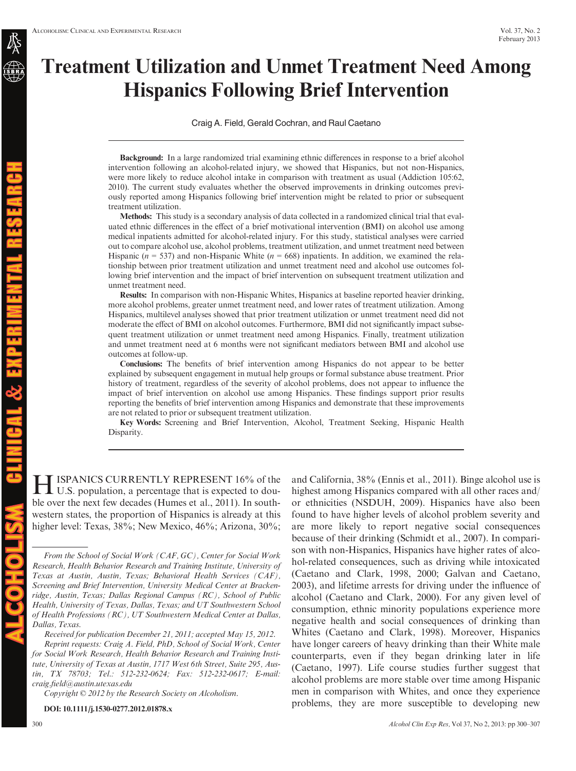# Treatment Utilization and Unmet Treatment Need Among Hispanics Following Brief Intervention

Craig A. Field, Gerald Cochran, and Raul Caetano

Background: In a large randomized trial examining ethnic differences in response to a brief alcohol intervention following an alcohol-related injury, we showed that Hispanics, but not non-Hispanics, were more likely to reduce alcohol intake in comparison with treatment as usual (Addiction 105:62, 2010). The current study evaluates whether the observed improvements in drinking outcomes previously reported among Hispanics following brief intervention might be related to prior or subsequent treatment utilization.

Methods: This study is a secondary analysis of data collected in a randomized clinical trial that evaluated ethnic differences in the effect of a brief motivational intervention (BMI) on alcohol use among medical inpatients admitted for alcohol-related injury. For this study, statistical analyses were carried out to compare alcohol use, alcohol problems, treatment utilization, and unmet treatment need between Hispanic ( $n = 537$ ) and non-Hispanic White ( $n = 668$ ) inpatients. In addition, we examined the relationship between prior treatment utilization and unmet treatment need and alcohol use outcomes following brief intervention and the impact of brief intervention on subsequent treatment utilization and unmet treatment need.

Results: In comparison with non-Hispanic Whites, Hispanics at baseline reported heavier drinking, more alcohol problems, greater unmet treatment need, and lower rates of treatment utilization. Among Hispanics, multilevel analyses showed that prior treatment utilization or unmet treatment need did not moderate the effect of BMI on alcohol outcomes. Furthermore, BMI did not significantly impact subsequent treatment utilization or unmet treatment need among Hispanics. Finally, treatment utilization and unmet treatment need at 6 months were not significant mediators between BMI and alcohol use outcomes at follow-up.

Conclusions: The benefits of brief intervention among Hispanics do not appear to be better explained by subsequent engagement in mutual help groups or formal substance abuse treatment. Prior history of treatment, regardless of the severity of alcohol problems, does not appear to influence the impact of brief intervention on alcohol use among Hispanics. These findings support prior results reporting the benefits of brief intervention among Hispanics and demonstrate that these improvements are not related to prior or subsequent treatment utilization.

Key Words: Screening and Brief Intervention, Alcohol, Treatment Seeking, Hispanic Health Disparity.

**HISPANICS CURRENTLY REPRESENT 16% of the U.S. population, a percentage that is expected to dou**ble over the next few decades (Humes et al., 2011). In southwestern states, the proportion of Hispanics is already at this higher level: Texas, 38%; New Mexico, 46%; Arizona, 30%;

Received for publication December 21, 2011; accepted May 15, 2012.

Reprint requests: Craig A. Field, PhD, School of Social Work, Center for Social Work Research, Health Behavior Research and Training Institute, University of Texas at Austin, 1717 West 6th Street, Suite 295, Austin, TX 78703; Tel.: 512-232-0624; Fax: 512-232-0617; E-mail: craig.field@austin.utexas.edu

Copyright © 2012 by the Research Society on Alcoholism.

DOI: 10.1111/j.1530-0277.2012.01878.x

and California, 38% (Ennis et al., 2011). Binge alcohol use is highest among Hispanics compared with all other races and/ or ethnicities (NSDUH, 2009). Hispanics have also been found to have higher levels of alcohol problem severity and are more likely to report negative social consequences because of their drinking (Schmidt et al., 2007). In comparison with non-Hispanics, Hispanics have higher rates of alcohol-related consequences, such as driving while intoxicated (Caetano and Clark, 1998, 2000; Galvan and Caetano, 2003), and lifetime arrests for driving under the influence of alcohol (Caetano and Clark, 2000). For any given level of consumption, ethnic minority populations experience more negative health and social consequences of drinking than Whites (Caetano and Clark, 1998). Moreover, Hispanics have longer careers of heavy drinking than their White male counterparts, even if they began drinking later in life (Caetano, 1997). Life course studies further suggest that alcohol problems are more stable over time among Hispanic men in comparison with Whites, and once they experience problems, they are more susceptible to developing new

**L & EXPERIMENTAL RESEA** 

From the School of Social Work (CAF, GC), Center for Social Work Research, Health Behavior Research and Training Institute, University of Texas at Austin, Austin, Texas; Behavioral Health Services (CAF), Screening and Brief Intervention, University Medical Center at Brackenridge, Austin, Texas; Dallas Regional Campus (RC), School of Public Health, University of Texas, Dallas, Texas; and UT Southwestern School of Health Professions (RC), UT Southwestern Medical Center at Dallas, Dallas, Texas.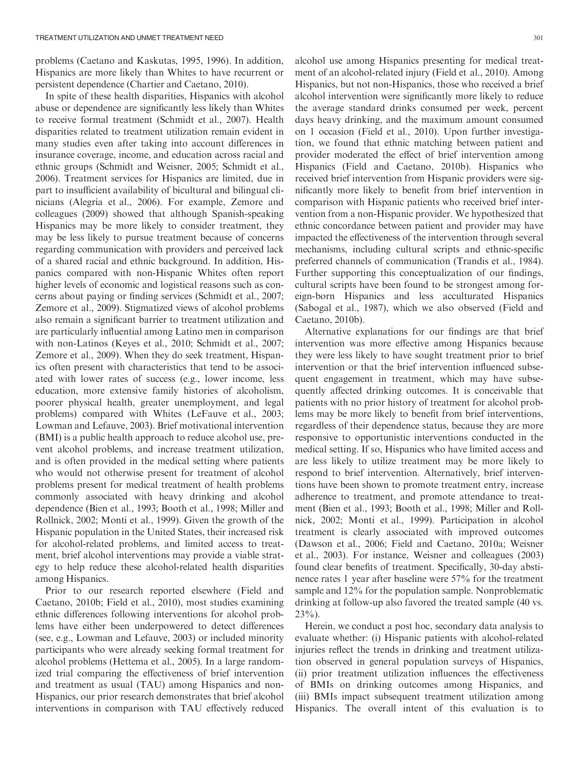problems (Caetano and Kaskutas, 1995, 1996). In addition, Hispanics are more likely than Whites to have recurrent or persistent dependence (Chartier and Caetano, 2010).

In spite of these health disparities, Hispanics with alcohol abuse or dependence are significantly less likely than Whites to receive formal treatment (Schmidt et al., 2007). Health disparities related to treatment utilization remain evident in many studies even after taking into account differences in insurance coverage, income, and education across racial and ethnic groups (Schmidt and Weisner, 2005; Schmidt et al., 2006). Treatment services for Hispanics are limited, due in part to insufficient availability of bicultural and bilingual clinicians (Alegría et al., 2006). For example, Zemore and colleagues (2009) showed that although Spanish-speaking Hispanics may be more likely to consider treatment, they may be less likely to pursue treatment because of concerns regarding communication with providers and perceived lack of a shared racial and ethnic background. In addition, Hispanics compared with non-Hispanic Whites often report higher levels of economic and logistical reasons such as concerns about paying or finding services (Schmidt et al., 2007; Zemore et al., 2009). Stigmatized views of alcohol problems also remain a significant barrier to treatment utilization and are particularly influential among Latino men in comparison with non-Latinos (Keyes et al., 2010; Schmidt et al., 2007; Zemore et al., 2009). When they do seek treatment, Hispanics often present with characteristics that tend to be associated with lower rates of success (e.g., lower income, less education, more extensive family histories of alcoholism, poorer physical health, greater unemployment, and legal problems) compared with Whites (LeFauve et al., 2003; Lowman and Lefauve, 2003). Brief motivational intervention (BMI) is a public health approach to reduce alcohol use, prevent alcohol problems, and increase treatment utilization, and is often provided in the medical setting where patients who would not otherwise present for treatment of alcohol problems present for medical treatment of health problems commonly associated with heavy drinking and alcohol dependence (Bien et al., 1993; Booth et al., 1998; Miller and Rollnick, 2002; Monti et al., 1999). Given the growth of the Hispanic population in the United States, their increased risk for alcohol-related problems, and limited access to treatment, brief alcohol interventions may provide a viable strategy to help reduce these alcohol-related health disparities among Hispanics.

Prior to our research reported elsewhere (Field and Caetano, 2010b; Field et al., 2010), most studies examining ethnic differences following interventions for alcohol problems have either been underpowered to detect differences (see, e.g., Lowman and Lefauve, 2003) or included minority participants who were already seeking formal treatment for alcohol problems (Hettema et al., 2005). In a large randomized trial comparing the effectiveness of brief intervention and treatment as usual (TAU) among Hispanics and non-Hispanics, our prior research demonstrates that brief alcohol interventions in comparison with TAU effectively reduced

alcohol use among Hispanics presenting for medical treatment of an alcohol-related injury (Field et al., 2010). Among Hispanics, but not non-Hispanics, those who received a brief alcohol intervention were significantly more likely to reduce the average standard drinks consumed per week, percent days heavy drinking, and the maximum amount consumed on 1 occasion (Field et al., 2010). Upon further investigation, we found that ethnic matching between patient and provider moderated the effect of brief intervention among Hispanics (Field and Caetano, 2010b). Hispanics who received brief intervention from Hispanic providers were significantly more likely to benefit from brief intervention in comparison with Hispanic patients who received brief intervention from a non-Hispanic provider. We hypothesized that ethnic concordance between patient and provider may have impacted the effectiveness of the intervention through several mechanisms, including cultural scripts and ethnic-specific preferred channels of communication (Trandis et al., 1984). Further supporting this conceptualization of our findings, cultural scripts have been found to be strongest among foreign-born Hispanics and less acculturated Hispanics (Sabogal et al., 1987), which we also observed (Field and Caetano, 2010b).

Alternative explanations for our findings are that brief intervention was more effective among Hispanics because they were less likely to have sought treatment prior to brief intervention or that the brief intervention influenced subsequent engagement in treatment, which may have subsequently affected drinking outcomes. It is conceivable that patients with no prior history of treatment for alcohol problems may be more likely to benefit from brief interventions, regardless of their dependence status, because they are more responsive to opportunistic interventions conducted in the medical setting. If so, Hispanics who have limited access and are less likely to utilize treatment may be more likely to respond to brief intervention. Alternatively, brief interventions have been shown to promote treatment entry, increase adherence to treatment, and promote attendance to treatment (Bien et al., 1993; Booth et al., 1998; Miller and Rollnick, 2002; Monti et al., 1999). Participation in alcohol treatment is clearly associated with improved outcomes (Dawson et al., 2006; Field and Caetano, 2010a; Weisner et al., 2003). For instance, Weisner and colleagues (2003) found clear benefits of treatment. Specifically, 30-day abstinence rates 1 year after baseline were 57% for the treatment sample and 12% for the population sample. Nonproblematic drinking at follow-up also favored the treated sample (40 vs.  $23\%$ ).

Herein, we conduct a post hoc, secondary data analysis to evaluate whether: (i) Hispanic patients with alcohol-related injuries reflect the trends in drinking and treatment utilization observed in general population surveys of Hispanics, (ii) prior treatment utilization influences the effectiveness of BMIs on drinking outcomes among Hispanics, and (iii) BMIs impact subsequent treatment utilization among Hispanics. The overall intent of this evaluation is to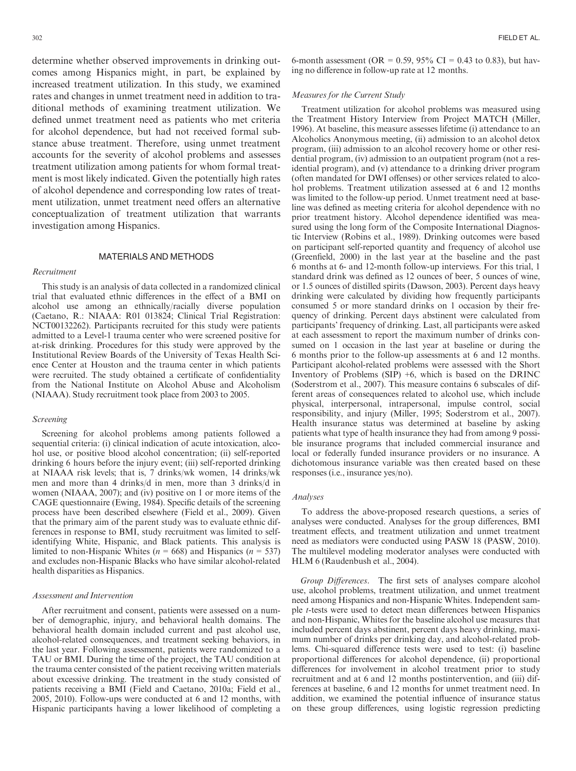determine whether observed improvements in drinking outcomes among Hispanics might, in part, be explained by increased treatment utilization. In this study, we examined rates and changes in unmet treatment need in addition to traditional methods of examining treatment utilization. We defined unmet treatment need as patients who met criteria for alcohol dependence, but had not received formal substance abuse treatment. Therefore, using unmet treatment accounts for the severity of alcohol problems and assesses treatment utilization among patients for whom formal treatment is most likely indicated. Given the potentially high rates of alcohol dependence and corresponding low rates of treatment utilization, unmet treatment need offers an alternative conceptualization of treatment utilization that warrants investigation among Hispanics.

### MATERIALS AND METHODS

## Recruitment

This study is an analysis of data collected in a randomized clinical trial that evaluated ethnic differences in the effect of a BMI on alcohol use among an ethnically/racially diverse population (Caetano, R.: NIAAA: R01 013824; Clinical Trial Registration: NCT00132262). Participants recruited for this study were patients admitted to a Level-1 trauma center who were screened positive for at-risk drinking. Procedures for this study were approved by the Institutional Review Boards of the University of Texas Health Science Center at Houston and the trauma center in which patients were recruited. The study obtained a certificate of confidentiality from the National Institute on Alcohol Abuse and Alcoholism (NIAAA). Study recruitment took place from 2003 to 2005.

## Screening

Screening for alcohol problems among patients followed a sequential criteria: (i) clinical indication of acute intoxication, alcohol use, or positive blood alcohol concentration; (ii) self-reported drinking 6 hours before the injury event; (iii) self-reported drinking at NIAAA risk levels; that is, 7 drinks/wk women, 14 drinks/wk men and more than 4 drinks/d in men, more than 3 drinks/d in women (NIAAA, 2007); and (iv) positive on 1 or more items of the CAGE questionnaire (Ewing, 1984). Specific details of the screening process have been described elsewhere (Field et al., 2009). Given that the primary aim of the parent study was to evaluate ethnic differences in response to BMI, study recruitment was limited to selfidentifying White, Hispanic, and Black patients. This analysis is limited to non-Hispanic Whites ( $n = 668$ ) and Hispanics ( $n = 537$ ) and excludes non-Hispanic Blacks who have similar alcohol-related health disparities as Hispanics.

#### Assessment and Intervention

After recruitment and consent, patients were assessed on a number of demographic, injury, and behavioral health domains. The behavioral health domain included current and past alcohol use, alcohol-related consequences, and treatment seeking behaviors, in the last year. Following assessment, patients were randomized to a TAU or BMI. During the time of the project, the TAU condition at the trauma center consisted of the patient receiving written materials about excessive drinking. The treatment in the study consisted of patients receiving a BMI (Field and Caetano, 2010a; Field et al., 2005, 2010). Follow-ups were conducted at 6 and 12 months, with Hispanic participants having a lower likelihood of completing a 6-month assessment (OR =  $0.59, 95\%$  CI = 0.43 to 0.83), but having no difference in follow-up rate at 12 months.

#### Measures for the Current Study

Treatment utilization for alcohol problems was measured using the Treatment History Interview from Project MATCH (Miller, 1996). At baseline, this measure assesses lifetime (i) attendance to an Alcoholics Anonymous meeting, (ii) admission to an alcohol detox program, (iii) admission to an alcohol recovery home or other residential program, (iv) admission to an outpatient program (not a residential program), and (v) attendance to a drinking driver program (often mandated for DWI offenses) or other services related to alcohol problems. Treatment utilization assessed at 6 and 12 months was limited to the follow-up period. Unmet treatment need at baseline was defined as meeting criteria for alcohol dependence with no prior treatment history. Alcohol dependence identified was measured using the long form of the Composite International Diagnostic Interview (Robins et al., 1989). Drinking outcomes were based on participant self-reported quantity and frequency of alcohol use (Greenfield, 2000) in the last year at the baseline and the past 6 months at 6- and 12-month follow-up interviews. For this trial, 1 standard drink was defined as 12 ounces of beer, 5 ounces of wine, or 1.5 ounces of distilled spirits (Dawson, 2003). Percent days heavy drinking were calculated by dividing how frequently participants consumed 5 or more standard drinks on 1 occasion by their frequency of drinking. Percent days abstinent were calculated from participants' frequency of drinking. Last, all participants were asked at each assessment to report the maximum number of drinks consumed on 1 occasion in the last year at baseline or during the 6 months prior to the follow-up assessments at 6 and 12 months. Participant alcohol-related problems were assessed with the Short Inventory of Problems (SIP) +6, which is based on the DRINC (Soderstrom et al., 2007). This measure contains 6 subscales of different areas of consequences related to alcohol use, which include physical, interpersonal, intrapersonal, impulse control, social responsibility, and injury (Miller, 1995; Soderstrom et al., 2007). Health insurance status was determined at baseline by asking patients what type of health insurance they had from among 9 possible insurance programs that included commercial insurance and local or federally funded insurance providers or no insurance. A dichotomous insurance variable was then created based on these responses (i.e., insurance yes/no).

#### Analyses

To address the above-proposed research questions, a series of analyses were conducted. Analyses for the group differences, BMI treatment effects, and treatment utilization and unmet treatment need as mediators were conducted using PASW 18 (PASW, 2010). The multilevel modeling moderator analyses were conducted with HLM 6 (Raudenbush et al., 2004).

Group Differences. The first sets of analyses compare alcohol use, alcohol problems, treatment utilization, and unmet treatment need among Hispanics and non-Hispanic Whites. Independent sample t-tests were used to detect mean differences between Hispanics and non-Hispanic, Whites for the baseline alcohol use measures that included percent days abstinent, percent days heavy drinking, maximum number of drinks per drinking day, and alcohol-related problems. Chi-squared difference tests were used to test: (i) baseline proportional differences for alcohol dependence, (ii) proportional differences for involvement in alcohol treatment prior to study recruitment and at 6 and 12 months postintervention, and (iii) differences at baseline, 6 and 12 months for unmet treatment need. In addition, we examined the potential influence of insurance status on these group differences, using logistic regression predicting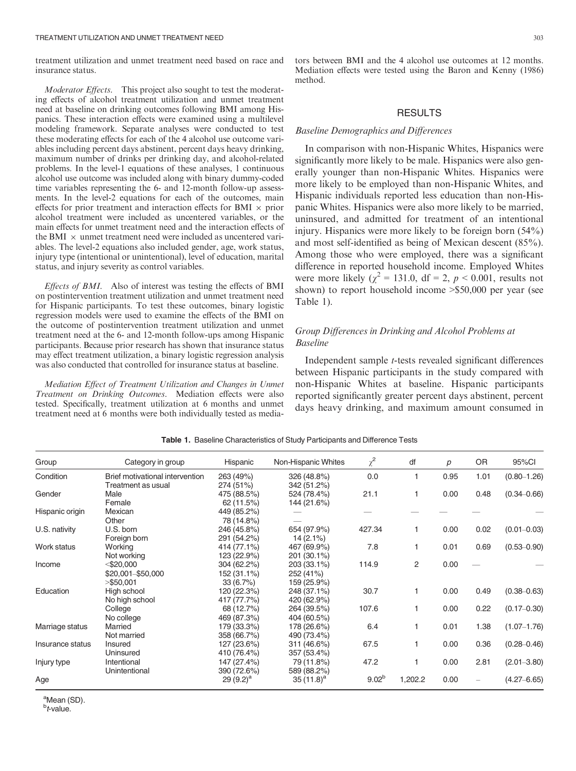treatment utilization and unmet treatment need based on race and insurance status.

Moderator Effects. This project also sought to test the moderating effects of alcohol treatment utilization and unmet treatment need at baseline on drinking outcomes following BMI among Hispanics. These interaction effects were examined using a multilevel modeling framework. Separate analyses were conducted to test these moderating effects for each of the 4 alcohol use outcome variables including percent days abstinent, percent days heavy drinking, maximum number of drinks per drinking day, and alcohol-related problems. In the level-1 equations of these analyses, 1 continuous alcohol use outcome was included along with binary dummy-coded time variables representing the 6- and 12-month follow-up assessments. In the level-2 equations for each of the outcomes, main effects for prior treatment and interaction effects for BMI  $\times$  prior alcohol treatment were included as uncentered variables, or the main effects for unmet treatment need and the interaction effects of the BMI  $\times$  unmet treatment need were included as uncentered variables. The level-2 equations also included gender, age, work status, injury type (intentional or unintentional), level of education, marital status, and injury severity as control variables.

Effects of BMI. Also of interest was testing the effects of BMI on postintervention treatment utilization and unmet treatment need for Hispanic participants. To test these outcomes, binary logistic regression models were used to examine the effects of the BMI on the outcome of postintervention treatment utilization and unmet treatment need at the 6- and 12-month follow-ups among Hispanic participants. Because prior research has shown that insurance status may effect treatment utilization, a binary logistic regression analysis was also conducted that controlled for insurance status at baseline.

Mediation Effect of Treatment Utilization and Changes in Unmet Treatment on Drinking Outcomes. Mediation effects were also tested. Specifically, treatment utilization at 6 months and unmet treatment need at 6 months were both individually tested as mediators between BMI and the 4 alcohol use outcomes at 12 months. Mediation effects were tested using the Baron and Kenny (1986) method.

### RESULTS

## Baseline Demographics and Differences

In comparison with non-Hispanic Whites, Hispanics were significantly more likely to be male. Hispanics were also generally younger than non-Hispanic Whites. Hispanics were more likely to be employed than non-Hispanic Whites, and Hispanic individuals reported less education than non-Hispanic Whites. Hispanics were also more likely to be married, uninsured, and admitted for treatment of an intentional injury. Hispanics were more likely to be foreign born (54%) and most self-identified as being of Mexican descent (85%). Among those who were employed, there was a significant difference in reported household income. Employed Whites were more likely ( $\chi^2$  = 131.0, df = 2, p < 0.001, results not shown) to report household income >\$50,000 per year (see Table 1).

# Group Differences in Drinking and Alcohol Problems at Baseline

Independent sample t-tests revealed significant differences between Hispanic participants in the study compared with non-Hispanic Whites at baseline. Hispanic participants reported significantly greater percent days abstinent, percent days heavy drinking, and maximum amount consumed in

| Group            | Category in group               | Hispanic     | Non-Hispanic Whites | $\chi^2$          | df           | р    | 0R   | 95%CI           |
|------------------|---------------------------------|--------------|---------------------|-------------------|--------------|------|------|-----------------|
| Condition        | Brief motivational intervention | 263 (49%)    | 326 (48.8%)         | 0.0               | 1            | 0.95 | 1.01 | $(0.80 - 1.26)$ |
|                  | Treatment as usual              | 274 (51%)    | 342 (51.2%)         |                   |              |      |      |                 |
| Gender           | Male                            | 475 (88.5%)  | 524 (78.4%)         | 21.1              | 1            | 0.00 | 0.48 | $(0.34 - 0.66)$ |
|                  | Female                          | 62 (11.5%)   | 144 (21.6%)         |                   |              |      |      |                 |
| Hispanic origin  | Mexican                         | 449 (85.2%)  |                     |                   |              |      |      |                 |
|                  | Other                           | 78 (14.8%)   |                     |                   |              |      |      |                 |
| U.S. nativity    | U.S. born                       | 246 (45.8%)  | 654 (97.9%)         | 427.34            | 1            | 0.00 | 0.02 | $(0.01 - 0.03)$ |
|                  | Foreign born                    | 291 (54.2%)  | $14(2.1\%)$         |                   |              |      |      |                 |
| Work status      | Working                         | 414 (77.1%)  | 467 (69.9%)         | 7.8               | 1            | 0.01 | 0.69 | $(0.53 - 0.90)$ |
|                  | Not working                     | 123 (22.9%)  | 201 (30.1%)         |                   |              |      |      |                 |
| Income           | $<$ \$20,000                    | 304 (62.2%)  | 203 (33.1%)         | 114.9             | 2            | 0.00 |      |                 |
|                  | \$20,001-\$50,000               | 152 (31.1%)  | 252 (41%)           |                   |              |      |      |                 |
|                  | $>$ \$50,001                    | 33(6.7%)     | 159 (25.9%)         |                   |              |      |      |                 |
| Education        | High school                     | 120 (22.3%)  | 248 (37.1%)         | 30.7              | $\mathbf{1}$ | 0.00 | 0.49 | $(0.38 - 0.63)$ |
|                  | No high school                  | 417 (77.7%)  | 420 (62.9%)         |                   |              |      |      |                 |
|                  | College                         | 68 (12.7%)   | 264 (39.5%)         | 107.6             | 1            | 0.00 | 0.22 | $(0.17 - 0.30)$ |
|                  | No college                      | 469 (87.3%)  | 404 (60.5%)         |                   |              |      |      |                 |
| Marriage status  | Married                         | 179 (33.3%)  | 178 (26.6%)         | 6.4               | 1            | 0.01 | 1.38 | $(1.07 - 1.76)$ |
|                  | Not married                     | 358 (66.7%)  | 490 (73.4%)         |                   |              |      |      |                 |
| Insurance status | Insured                         | 127 (23.6%)  | 311 (46.6%)         | 67.5              | 1            | 0.00 | 0.36 | $(0.28 - 0.46)$ |
|                  | Uninsured                       | 410 (76.4%)  | 357 (53.4%)         |                   |              |      |      |                 |
| Injury type      | Intentional                     | 147 (27.4%)  | 79 (11.8%)          | 47.2              | 1            | 0.00 | 2.81 | $(2.01 - 3.80)$ |
|                  | Unintentional                   | 390 (72.6%)  | 589 (88.2%)         |                   |              |      |      |                 |
| Age              |                                 | 29 $(9.2)^a$ | 35 $(11.8)^a$       | 9.02 <sup>b</sup> | 1,202.2      | 0.00 |      | $(4.27 - 6.65)$ |

Table 1. Baseline Characteristics of Study Participants and Difference Tests

<sup>b</sup>t-value.

<sup>&</sup>lt;sup>a</sup>Mean (SD).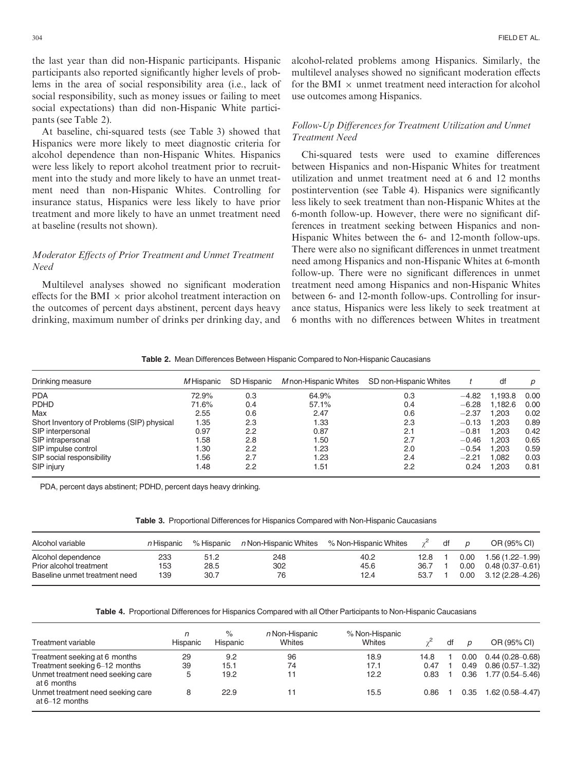the last year than did non-Hispanic participants. Hispanic participants also reported significantly higher levels of problems in the area of social responsibility area (i.e., lack of social responsibility, such as money issues or failing to meet social expectations) than did non-Hispanic White participants (see Table 2).

At baseline, chi-squared tests (see Table 3) showed that Hispanics were more likely to meet diagnostic criteria for alcohol dependence than non-Hispanic Whites. Hispanics were less likely to report alcohol treatment prior to recruitment into the study and more likely to have an unmet treatment need than non-Hispanic Whites. Controlling for insurance status, Hispanics were less likely to have prior treatment and more likely to have an unmet treatment need at baseline (results not shown).

# Moderator Effects of Prior Treatment and Unmet Treatment Need

Multilevel analyses showed no significant moderation effects for the BMI  $\times$  prior alcohol treatment interaction on the outcomes of percent days abstinent, percent days heavy drinking, maximum number of drinks per drinking day, and alcohol-related problems among Hispanics. Similarly, the multilevel analyses showed no significant moderation effects for the BMI  $\times$  unmet treatment need interaction for alcohol use outcomes among Hispanics.

# Follow-Up Differences for Treatment Utilization and Unmet Treatment Need

Chi-squared tests were used to examine differences between Hispanics and non-Hispanic Whites for treatment utilization and unmet treatment need at 6 and 12 months postintervention (see Table 4). Hispanics were significantly less likely to seek treatment than non-Hispanic Whites at the 6-month follow-up. However, there were no significant differences in treatment seeking between Hispanics and non-Hispanic Whites between the 6- and 12-month follow-ups. There were also no significant differences in unmet treatment need among Hispanics and non-Hispanic Whites at 6-month follow-up. There were no significant differences in unmet treatment need among Hispanics and non-Hispanic Whites between 6- and 12-month follow-ups. Controlling for insurance status, Hispanics were less likely to seek treatment at 6 months with no differences between Whites in treatment

Table 2. Mean Differences Between Hispanic Compared to Non-Hispanic Caucasians

| Drinking measure                           | M Hispanic | SD Hispanic | M non-Hispanic Whites | SD non-Hispanic Whites |         | df      |      |
|--------------------------------------------|------------|-------------|-----------------------|------------------------|---------|---------|------|
| <b>PDA</b>                                 | 72.9%      | 0.3         | 64.9%                 | 0.3                    | $-4.82$ | 1,193.8 | 0.00 |
| <b>PDHD</b>                                | 71.6%      | 0.4         | 57.1%                 | 0.4                    | $-6.28$ | 1.182.6 | 0.00 |
| Max                                        | 2.55       | 0.6         | 2.47                  | 0.6                    | $-2.37$ | 1.203   | 0.02 |
| Short Inventory of Problems (SIP) physical | 1.35       | 2.3         | 1.33                  | 2.3                    | $-0.13$ | 1.203   | 0.89 |
| SIP interpersonal                          | 0.97       | 2.2         | 0.87                  | 2.1                    | $-0.81$ | 1.203   | 0.42 |
| SIP intrapersonal                          | .58        | 2.8         | 1.50                  | 2.7                    | $-0.46$ | 1.203   | 0.65 |
| SIP impulse control                        | l.30       | 2.2         | 1.23                  | 2.0                    | $-0.54$ | 1.203   | 0.59 |
| SIP social responsibility                  | .56        | 2.7         | 1.23                  | 2.4                    | $-2.21$ | 1.082   | 0.03 |
| SIP injury                                 | .48        | 2.2         | 1.51                  | 2.2                    | 0.24    | .203    | 0.81 |

PDA, percent days abstinent; PDHD, percent days heavy drinking.

|  |  |  |  |  | <b>Table 3.</b> Proportional Differences for Hispanics Compared with Non-Hispanic Caucasians |  |
|--|--|--|--|--|----------------------------------------------------------------------------------------------|--|
|--|--|--|--|--|----------------------------------------------------------------------------------------------|--|

| Alcohol variable                                                               | n Hispanic        | % Hispanic           |                  | n Non-Hispanic Whites % Non-Hispanic Whites |                      | df |              | OR (95% CI)                                                       |
|--------------------------------------------------------------------------------|-------------------|----------------------|------------------|---------------------------------------------|----------------------|----|--------------|-------------------------------------------------------------------|
| Alcohol dependence<br>Prior alcohol treatment<br>Baseline unmet treatment need | 233<br>153<br>139 | 51.2<br>28.5<br>30.7 | 248<br>302<br>76 | 40.2<br>45.6<br>12.4                        | 12.8<br>36.7<br>53.7 |    | 0.00<br>0.00 | 1.56 (1.22-1.99)<br>$0.48(0.37-0.61)$<br>$0.00$ $3.12(2.28-4.26)$ |

Table 4. Proportional Differences for Hispanics Compared with all Other Participants to Non-Hispanic Caucasians

| Treatment variable                                    | Hispanic | %<br>Hispanic | $n$ Non-Hispanic<br>Whites | % Non-Hispanic<br>Whites |      | df |      | OR (95% CI)         |
|-------------------------------------------------------|----------|---------------|----------------------------|--------------------------|------|----|------|---------------------|
| Treatment seeking at 6 months                         | 29       | 9.2           | 96                         | 18.9                     | 14.8 |    | 0.00 | $0.44(0.28 - 0.68)$ |
| Treatment seeking 6-12 months                         | 39       | 15.1          | 74                         | 17.1                     | 0.47 |    | 0.49 | $0.86(0.57-1.32)$   |
| Unmet treatment need seeking care<br>at 6 months      | ა        | 19.2          |                            | 12.2                     | 0.83 |    | 0.36 | 1.77 (0.54–5.46)    |
| Unmet treatment need seeking care<br>at $6-12$ months |          | 22.9          |                            | 15.5                     | 0.86 |    | 0.35 | $1.62(0.58 - 4.47)$ |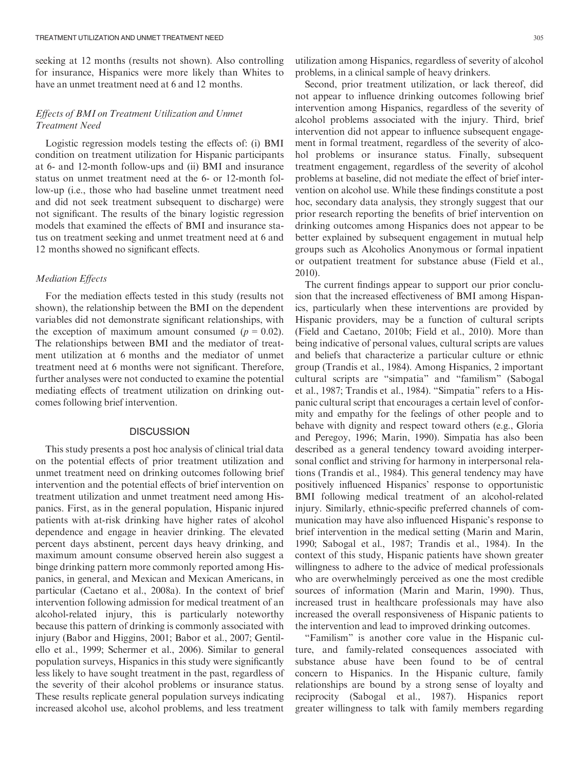seeking at 12 months (results not shown). Also controlling for insurance, Hispanics were more likely than Whites to have an unmet treatment need at 6 and 12 months.

# Effects of BMI on Treatment Utilization and Unmet Treatment Need

Logistic regression models testing the effects of: (i) BMI condition on treatment utilization for Hispanic participants at 6- and 12-month follow-ups and (ii) BMI and insurance status on unmet treatment need at the 6- or 12-month follow-up (i.e., those who had baseline unmet treatment need and did not seek treatment subsequent to discharge) were not significant. The results of the binary logistic regression models that examined the effects of BMI and insurance status on treatment seeking and unmet treatment need at 6 and 12 months showed no significant effects.

# Mediation Effects

For the mediation effects tested in this study (results not shown), the relationship between the BMI on the dependent variables did not demonstrate significant relationships, with the exception of maximum amount consumed ( $p = 0.02$ ). The relationships between BMI and the mediator of treatment utilization at 6 months and the mediator of unmet treatment need at 6 months were not significant. Therefore, further analyses were not conducted to examine the potential mediating effects of treatment utilization on drinking outcomes following brief intervention.

## **DISCUSSION**

This study presents a post hoc analysis of clinical trial data on the potential effects of prior treatment utilization and unmet treatment need on drinking outcomes following brief intervention and the potential effects of brief intervention on treatment utilization and unmet treatment need among Hispanics. First, as in the general population, Hispanic injured patients with at-risk drinking have higher rates of alcohol dependence and engage in heavier drinking. The elevated percent days abstinent, percent days heavy drinking, and maximum amount consume observed herein also suggest a binge drinking pattern more commonly reported among Hispanics, in general, and Mexican and Mexican Americans, in particular (Caetano et al., 2008a). In the context of brief intervention following admission for medical treatment of an alcohol-related injury, this is particularly noteworthy because this pattern of drinking is commonly associated with injury (Babor and Higgins, 2001; Babor et al., 2007; Gentilello et al., 1999; Schermer et al., 2006). Similar to general population surveys, Hispanics in this study were significantly less likely to have sought treatment in the past, regardless of the severity of their alcohol problems or insurance status. These results replicate general population surveys indicating increased alcohol use, alcohol problems, and less treatment

Second, prior treatment utilization, or lack thereof, did not appear to influence drinking outcomes following brief intervention among Hispanics, regardless of the severity of alcohol problems associated with the injury. Third, brief intervention did not appear to influence subsequent engagement in formal treatment, regardless of the severity of alcohol problems or insurance status. Finally, subsequent treatment engagement, regardless of the severity of alcohol problems at baseline, did not mediate the effect of brief intervention on alcohol use. While these findings constitute a post hoc, secondary data analysis, they strongly suggest that our prior research reporting the benefits of brief intervention on drinking outcomes among Hispanics does not appear to be better explained by subsequent engagement in mutual help groups such as Alcoholics Anonymous or formal inpatient or outpatient treatment for substance abuse (Field et al., 2010).

The current findings appear to support our prior conclusion that the increased effectiveness of BMI among Hispanics, particularly when these interventions are provided by Hispanic providers, may be a function of cultural scripts (Field and Caetano, 2010b; Field et al., 2010). More than being indicative of personal values, cultural scripts are values and beliefs that characterize a particular culture or ethnic group (Trandis et al., 1984). Among Hispanics, 2 important cultural scripts are "simpatia" and "familism" (Sabogal et al., 1987; Trandis et al., 1984). "Simpatia" refers to a Hispanic cultural script that encourages a certain level of conformity and empathy for the feelings of other people and to behave with dignity and respect toward others (e.g., Gloria and Peregoy, 1996; Marin, 1990). Simpatia has also been described as a general tendency toward avoiding interpersonal conflict and striving for harmony in interpersonal relations (Trandis et al., 1984). This general tendency may have positively influenced Hispanics' response to opportunistic BMI following medical treatment of an alcohol-related injury. Similarly, ethnic-specific preferred channels of communication may have also influenced Hispanic's response to brief intervention in the medical setting (Marin and Marin, 1990; Sabogal et al., 1987; Trandis et al., 1984). In the context of this study, Hispanic patients have shown greater willingness to adhere to the advice of medical professionals who are overwhelmingly perceived as one the most credible sources of information (Marin and Marin, 1990). Thus, increased trust in healthcare professionals may have also increased the overall responsiveness of Hispanic patients to the intervention and lead to improved drinking outcomes.

"Familism" is another core value in the Hispanic culture, and family-related consequences associated with substance abuse have been found to be of central concern to Hispanics. In the Hispanic culture, family relationships are bound by a strong sense of loyalty and reciprocity (Sabogal et al., 1987). Hispanics report greater willingness to talk with family members regarding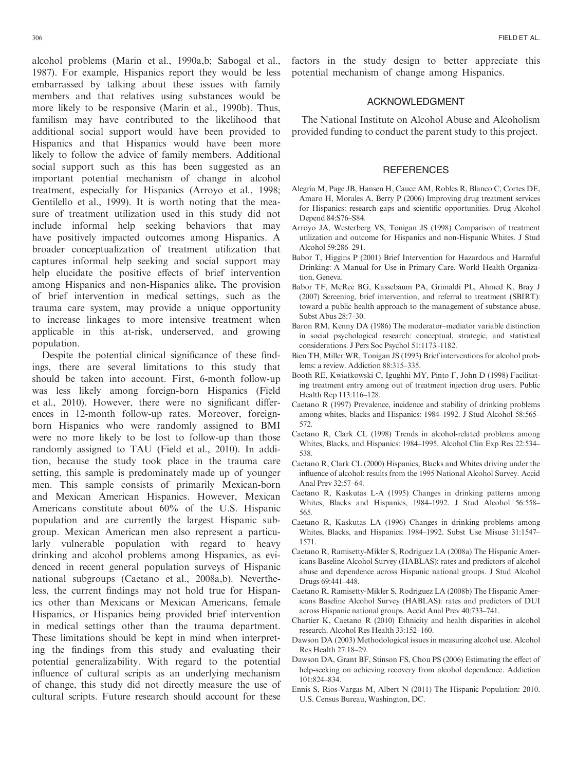alcohol problems (Marin et al., 1990a,b; Sabogal et al., 1987). For example, Hispanics report they would be less embarrassed by talking about these issues with family members and that relatives using substances would be more likely to be responsive (Marin et al., 1990b). Thus, familism may have contributed to the likelihood that additional social support would have been provided to Hispanics and that Hispanics would have been more likely to follow the advice of family members. Additional social support such as this has been suggested as an important potential mechanism of change in alcohol treatment, especially for Hispanics (Arroyo et al., 1998; Gentilello et al., 1999). It is worth noting that the measure of treatment utilization used in this study did not include informal help seeking behaviors that may have positively impacted outcomes among Hispanics. A broader conceptualization of treatment utilization that captures informal help seeking and social support may help elucidate the positive effects of brief intervention among Hispanics and non-Hispanics alike. The provision of brief intervention in medical settings, such as the trauma care system, may provide a unique opportunity to increase linkages to more intensive treatment when applicable in this at-risk, underserved, and growing population.

Despite the potential clinical significance of these findings, there are several limitations to this study that should be taken into account. First, 6-month follow-up was less likely among foreign-born Hispanics (Field et al., 2010). However, there were no significant differences in 12-month follow-up rates. Moreover, foreignborn Hispanics who were randomly assigned to BMI were no more likely to be lost to follow-up than those randomly assigned to TAU (Field et al., 2010). In addition, because the study took place in the trauma care setting, this sample is predominately made up of younger men. This sample consists of primarily Mexican-born and Mexican American Hispanics. However, Mexican Americans constitute about 60% of the U.S. Hispanic population and are currently the largest Hispanic subgroup. Mexican American men also represent a particularly vulnerable population with regard to heavy drinking and alcohol problems among Hispanics, as evidenced in recent general population surveys of Hispanic national subgroups (Caetano et al., 2008a,b). Nevertheless, the current findings may not hold true for Hispanics other than Mexicans or Mexican Americans, female Hispanics, or Hispanics being provided brief intervention in medical settings other than the trauma department. These limitations should be kept in mind when interpreting the findings from this study and evaluating their potential generalizability. With regard to the potential influence of cultural scripts as an underlying mechanism of change, this study did not directly measure the use of cultural scripts. Future research should account for these factors in the study design to better appreciate this potential mechanism of change among Hispanics.

# ACKNOWLEDGMENT

The National Institute on Alcohol Abuse and Alcoholism provided funding to conduct the parent study to this project.

# **REFERENCES**

- Alegría M, Page JB, Hansen H, Cauce AM, Robles R, Blanco C, Cortes DE, Amaro H, Morales A, Berry P (2006) Improving drug treatment services for Hispanics: research gaps and scientific opportunities. Drug Alcohol Depend 84:S76–S84.
- Arroyo JA, Westerberg VS, Tonigan JS (1998) Comparison of treatment utilization and outcome for Hispanics and non-Hispanic Whites. J Stud Alcohol 59:286–291.
- Babor T, Higgins P (2001) Brief Intervention for Hazardous and Harmful Drinking: A Manual for Use in Primary Care. World Health Organization, Geneva.
- Babor TF, McRee BG, Kassebaum PA, Grimaldi PL, Ahmed K, Bray J (2007) Screening, brief intervention, and referral to treatment (SBIRT): toward a public health approach to the management of substance abuse. Subst Abus 28:7–30.
- Baron RM, Kenny DA (1986) The moderator–mediator variable distinction in social psychological research: conceptual, strategic, and statistical considerations. J Pers Soc Psychol 51:1173–1182.
- Bien TH, Miller WR, Tonigan JS (1993) Brief interventions for alcohol problems: a review. Addiction 88:315–335.
- Booth RE, Kwiatkowski C, Igughhi MY, Pinto F, John D (1998) Facilitating treatment entry among out of treatment injection drug users. Public Health Rep 113:116–128.
- Caetano R (1997) Prevalence, incidence and stability of drinking problems among whites, blacks and Hispanics: 1984–1992. J Stud Alcohol 58:565– 572.
- Caetano R, Clark CL (1998) Trends in alcohol-related problems among Whites, Blacks, and Hispanics: 1984–1995. Alcohol Clin Exp Res 22:534– 538.
- Caetano R, Clark CL (2000) Hispanics, Blacks and Whites driving under the influence of alcohol: results from the 1995 National Alcohol Survey. Accid Anal Prev 32:57–64.
- Caetano R, Kaskutas L-A (1995) Changes in drinking patterns among Whites, Blacks and Hispanics, 1984–1992. J Stud Alcohol 56:558– 565.
- Caetano R, Kaskutas LA (1996) Changes in drinking problems among Whites, Blacks, and Hispanics: 1984–1992. Subst Use Misuse 31:1547– 1571.
- Caetano R, Ramisetty-Mikler S, Rodriguez LA (2008a) The Hispanic Americans Baseline Alcohol Survey (HABLAS): rates and predictors of alcohol abuse and dependence across Hispanic national groups. J Stud Alcohol Drugs 69:441–448.
- Caetano R, Ramisetty-Mikler S, Rodriguez LA (2008b) The Hispanic Americans Baseline Alcohol Survey (HABLAS): rates and predictors of DUI across Hispanic national groups. Accid Anal Prev 40:733–741.
- Chartier K, Caetano R (2010) Ethnicity and health disparities in alcohol research. Alcohol Res Health 33:152–160.
- Dawson DA (2003) Methodological issues in measuring alcohol use. Alcohol Res Health 27:18–29.
- Dawson DA, Grant BF, Stinson FS, Chou PS (2006) Estimating the effect of help-seeking on achieving recovery from alcohol dependence. Addiction 101:824–834.
- Ennis S, Rios-Vargas M, Albert N (2011) The Hispanic Population: 2010. U.S. Census Bureau, Washington, DC.